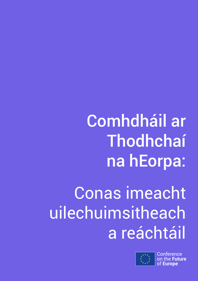Comhdháil ar Thodhchaí na hEorpa:

Conas imeacht uilechuimsitheach a reáchtáil



**Conference** u**ture** of **Europe**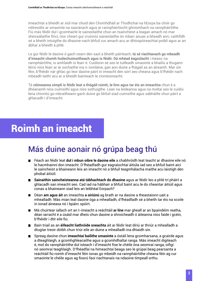Imeachtaí a bheidh ar siúl mar chuid den Chomhdháil ar Thodhchaí na hEorpa ba chóir go ndíreoidís ar smaointe na saoránach agus ar rannpháirtíocht ghníomhach na rannpháirtithe. Fiú más féidir dul i gcomhairle le saineolaithe chun an tsaincheist a leagan amach nó mar sheiceálaithe fíricí, níor cheart gur cruinniú saineolaithe ón mbarr anuas a bheadh ann; caithfidh sé a bheith intuigthe do dhaoine nach bhfuil cur amach acu ar dhíospóireachtaí poiblí agus ar an ábhar a bheidh á phlé.

Le gur féidir le daoine ó gach cearn den saol a bheith páirteach, **tá sé riachtanach go mbeadh d'imeacht chomh huilechuimsitheach agus is féidir. Dá mhéad éagsúlacht** i measc na rannpháirtithe, is amhlaidh is fearr é. Cuidíonn sé seo le tuilleadh smaointe a bhailiú a thugann léiriú níos fearr ar ár sochaithe ina n-iomláine, gan aon duine a fhágáil as an áireamh. Mar sin féin, b'fhéidir nár ghlac go leor daoine páirt in imeacht den sórt seo cheana agus b'fhéidir nach mbeadh taithí acu ar a bheidh bainteach le cinnteoireacht.

Tá **céimeanna simplí is féidir leat a thógáil roimh, le linn agus tar éis an imeachta** chun é a dhéanamh níos cuimsithí agus níos sothuigthe. Lean na leideanna agus na moltaí seo le cuidiú lena chinntiú go mbraitheann gach duine go bhfuil siad cuimsithe agus sábháilte chun páirt a ghlacadh i d'imeacht.

# Roimh an imeacht

## Más duine aonair nó grúpa beag thú

- Féach an féidir leat **dul i mbun oibre le daoine eile** a chabhróidh leat teacht ar dhaoine eile nó le hacmhainní don imeacht. D'fhéadfadh gur eagraíochtaí áitiúla iad seo a bhfuil baint aici le saincheist a bhaineann leis an imeacht nó a bhfuil teagmhálacha maithe acu laistigh den phobal áitiúil.
- **Sainaithin saincheisteanna atá tábhachtach do dhaoine** agus ar féidir leo a phlé trí pháirt a ghlacadh san imeacht seo. Cad iad na hábhair a bhfuil baint acu le do cheantar áitiúil agus conas a bhaineann siad leis an leibhéal Eorpach?
- Déan **am agus áit** an imeachta **a oiriúnú** ag brath ar na daoine a theastaíonn uait a mhealladh. Más mian leat daoine óga a mhealladh, d'fhéadfadh sé a bheith tar éis na scoile in ionad áineasa nó i bpáirc spóirt.
- Má chuirtear iallach ort an t-imeacht a reáchtáil **ar líne** mar gheall ar an bpaindéim reatha, déan iarracht é a úsáid mar dheis chun daoine a shroicheadh ó áiteanna níos faide i gcéin, b'fhéidir i dtír eile fiú.
- Bain triail as an **éifeacht liathróide sneachta** áit ar féidir leat díriú ar thriúr a mhealladh a dtugtar treoir dóibh chun triúr eile an duine a mhealladh ina dhiaidh sin.
- Spreag daoine chun **imeachtaí bailithe smaointe** a óstáil lena gcomharsana, a gcairde agus a dteaghlaigh, a gcomhghleacaithe agus a gcomhdhaltaí ranga. Más imeacht digiteach é, mol do rannpháirtithe dul isteach i d'imeacht físe le chéile óna seomraí ranga, oifigí nó seomraí teaghlaigh. D'fhéadfaí na himeachtaí beaga seo le grúpaí beag pearsanta a reáchtáil fiú roimh d'imeacht féin ionas go mbeidh na rannpháirtithe cheana féin ag cur smaointe le chéile agus ag fiosrú faoi riachtanais na ndaoine timpeall orthu.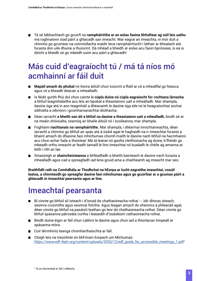Tá sé tábhachtach go gcuirfí na **rannpháirtithe ar an eolas faoina bhfuiltear ag súil leis uathu**  má roghnaíonn siad páirt a ghlacadh san imeacht. Mar eagraí an imeachta, ní mór duit a chinntiú go gcuirtear na coinníollacha maidir lena rannpháirtíocht i láthair ar bhealach atá furasta don uile dhuine a thuiscint. Dá mhéad a bheidh ar eolas acu faoin bpróiseas, is ea is dóichí a bheidh sé go mbeidh suim acu páirt a ghlacadh!

## Más cuid d'eagraíocht tú / má tá níos mó acmhainní ar fáil duit

- **Mapáil amach do phobal** nó líonra áitiúil chun tuiscint a fháil ar cé a mheallfaí go héasca.<br>Agus aá a bheadh deasair a mhealladh. agus cé a bheadh deacair a mhealladh. agus cé a bheadh deacair a mhealladh.
- Is féidir gurbh fhiú dul chun cainte le **cúpla duine nó cúpla eagraíocht for-rochtana lárnacha** a bhfuil teagmhálaithe acu leis an bpobal a theastaíonn uait a mhealladh. Mar shampla, a bhfuil teagmhálaithe acu leis an bpobal a theastaíonn uait a mhealladh. Mar shampla,<br>dealla é an atá in ann teagmháil a dhánnamh le dealla é an aile ná le heagmaíochtaí an ch daoine óga atá in ann teagmháil a dhéanamh le daoine óga eile nó le heagraíochtaí sochaí daoine óga atá in ann teagmháil a dhéanamh le daoine óga eile nó le heagraíochtaí sochaí sibhialta a oibríonn i gcomharsanachtaí díothacha. sibhialta a oibríonn i gcomharsanachtaí díothacha. Is féidir gurbh fhiú dul chun cainte le **cúpla duine nó cúpla eagraíocht for-rochtana lárnacha**
- Déan iarracht **a bheith san áit a bhfuil na daoine a theastaíonn uait a mhealladh**, bíodh sé ar na meáin shóisialta, cearnóg an bhaile áitiúil nó i scoileanna, mar shampla. na meáin shóisialta, cearnóg an bhaile áitiúil nó i scoileanna, mar shampla. Déan iarracht **a bheith san áit a bhfuil na daoine a theastaíonn uait a mhealladh**, bíodh sé ar
- Foghlaim riachtanais na rannpháirtithe. Mar shampla, i dtéarmaí inrochtaineachta, déan iarracht a chinntiú go bhfuil an spás atá á úsáid agat le haghaidh na n-imeachtaí furasta a iarracht a chinntiú go bhfuil an spás atá á úsáid agat le haghaidh na n-imeachtaí furasta a bhaint amach do dhaoine faoi mhíchumas chomh maith le daoine nach bhfuil na hacmhainní bhaint amach do dhaoine faoi mhíchumas chomh maith le daoine nach bhfuil na hacmhainní acu chun achar fada a thaisteal. Má tá leanaí nó gaolta cleithiúnacha ag duine, b'fhéidir go acu chun achar faua a thaisteal. Má tá leanaí nó gaolta cleithiúnacha ag uuine, b'fhéidir go<br>mheadh arthu imeacht ar feadh tamaill le linn imeachtaí ná hualadh le cháile ag amanna ar mbeadh orthu imeacht ar feadh tamaill le linn imeachtaí nó bualadh le chéile ag amanna ar mbeadh orthu imeacht ar feadh tamaill le linn imeachtaí nó bualadh le chéile ag amanna ar leith i rith an lae. leith i rith an lae. Foghlaim **riachtanais na rannpháirtithe.** Mar shampla, i dtéarmaí inrochtaineachta, déan
- Smaoinigh ar **shaincheisteanna** a bhféadfadh a bheith bainteach le daoine nach furasta a mhealladh agus cad a spreagfadh iad lena gcuid ama a chaitheamh ag imeacht mar seo. mhealladh agus cad a spreagfadh iad lena gcuid ama a chaitheamh ag imeacht mar seo. Smaoinigh ar **shaincheisteanna** a bhféadfadh a bheith bainteach le daoine nach furasta a

**Braithfidh rath na Comhdhála ar Thodhchaí na hEorpa ar lucht eagraithe imeachtaí, cosúil leatsa, a chinnteodh go spreagfar daoine faoi mhíchumas agus go gcuirfear ar a gcumas páirt a leatsa, a chinnteodh go spreagfar daoine faoi mhíchumas agus go gcuirfear ar a gcumas páirt a ghlacadh in imeachtaí pearsanta agus ar líne. ghlacadh in imeachtaí pearsanta agus ar líne. Braithfidh rath na Comhdhála ar Thodhchaí na hEorpa ar lucht eagraithe imeachtaí, cosúil** 

## Imeachtaí pearsanta Imeachtaí pearsanta

- seomra cruinnithe agus seomraí folctha. Agus leagan amach do sheomra á phleanáil agat, déan cinnte go bhfuil na pasáistí leathan go leor do chathaoireacha rothaí. Déan cinnte go bhfuil spásanna páirceála curtha i leataobh d'úsáideoirí cathaoireacha rothaí. Bí cinnte go bhfuil slí isteach i d'ionad do chathaoireacha rothaí -- idir dhoras isteach,
- Bíodh duine éigin ar fáil chun cabhrú le daoine agus chun iad a thionlacan timpeall ar spásanna móra. Éigin ar fáil chun cabhrú le daoine agus chun iad a thionlach agus chun iad a thionlach ar thi
- Cuir léirmhíniú teanga chomharthaíochta ar fáil.
- Cloígh leis na treoirlínte ón bhFóram Eorpach um Míchumas: [https://www.edf-feph.org/content/uploads/2020/12/edf\\_guide\\_for\\_accessible\\_meetings\\_1.pdf](https://www.edf-feph.org/content/uploads/2020/12/edf_guide_for_accessible_meetings_1.pdf)<sup>1</sup>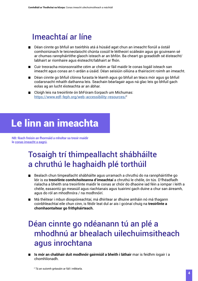#### Imeachtaí ar líne

- Déan cinnte go bhfuil an tseirbhís atá á húsáid agat chun an imeacht fíorúil a óstáil comhoiriúnach le teicneolaíocht chúnta cosúil le léitheoirí scáileáin agus go gcuireann sé ar chumas rannpháirtithe glaoch isteach ar an bhfón. Ba cheart go gceadódh sé éisteacht/ labhairt ar ríomhaire agus éisteacht/labhairt ar fhón.
- Cuir treoracha mionsonraithe céim ar chéim ar fáil maidir le conas logáil isteach san  $\mathbf{r}$ imeacht agus conas an t-ardán a úsáid. Déan seisiúin oiliúna a thairiscint roimh an imeacht.
- Déan cinnte go bhfuil clónna furasta le léamh agus go bhfuil an téacs mór agus go bhfuil codarsnacht mhaith dathanna leis. Seachain béarlagair agus ná glac leis go bhfuil gach eolas ag an lucht éisteachta ar an ábhar.
- Cloígh leis na treoirlínte ón bhFóram Eorpach um Míchumas: [https://www.edf-feph.org/web-accessibility-resources/2](https://www.edf-feph.org/web-accessibility-resources/)

# Le linn an imeachta

**NB: féach freisin an fhormáid a mholtar sa treoir maidir le [conas imeacht a eagrú.](https://futureu.europa.eu/pages/event-organisers)**

## Tosaigh trí thimpeallacht shábháilte a chruthú le haghaidh plé torthúil

- Bealach chun timpeallacht shábháilte agus urramach a chruthú do na rannpháirtithe go  $\blacksquare$ léir is ea **treoirlínte comhchoiteanna d'imeachtaí** a chruthú le chéile, ón tús. D'fhéadfadh rialacha a bheith sna treoirlínte maidir le conas ar chóir do dhaoine iad féin a iompar i leith a chéile, easaontú go measúil agus riachtanais agus tuairimí gach duine a chur san áireamh, agus do ról an mhodhnóra / na modhnóirí.
- Má théitear i mbun díospóireachtaí, má dhírítear ar dhuine amháin nó má thagann coinbhleachtaí eile chun cinn, is féidir leat dul ar ais i gcónaí chuig na **treoirlínte a chomhaontaítear go frithpháirteach.**

## Déan cinnte go ndéanann tú an plé a mhodhnú ar bhealach uilechuimsitheach agus inrochtana

**Is mór an chabhair duit modhnóir gairmiúil a bheith i láthair** mar is feidhm íogair í a chomhlíonadh.